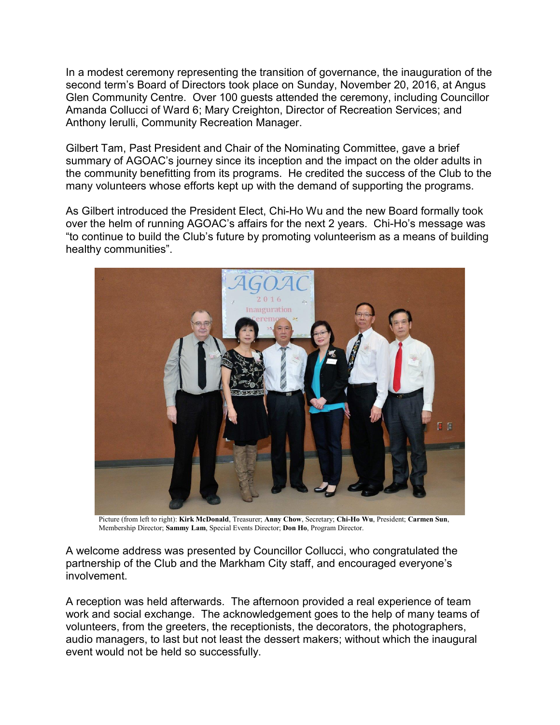In a modest ceremony representing the transition of governance, the inauguration of the second term's Board of Directors took place on Sunday, November 20, 2016, at Angus Glen Community Centre. Over 100 guests attended the ceremony, including Councillor Amanda Collucci of Ward 6; Mary Creighton, Director of Recreation Services; and Anthony Ierulli, Community Recreation Manager.

Gilbert Tam, Past President and Chair of the Nominating Committee, gave a brief summary of AGOAC's journey since its inception and the impact on the older adults in the community benefitting from its programs. He credited the success of the Club to the many volunteers whose efforts kept up with the demand of supporting the programs.

As Gilbert introduced the President Elect, Chi-Ho Wu and the new Board formally took over the helm of running AGOAC's affairs for the next 2 years. Chi-Ho's message was "to continue to build the Club's future by promoting volunteerism as a means of building healthy communities".



Picture (from left to right): Kirk McDonald, Treasurer; Anny Chow, Secretary; Chi-Ho Wu, President; Carmen Sun, Membership Director; Sammy Lam, Special Events Director; Don Ho, Program Director.

A welcome address was presented by Councillor Collucci, who congratulated the partnership of the Club and the Markham City staff, and encouraged everyone's involvement.

A reception was held afterwards. The afternoon provided a real experience of team work and social exchange. The acknowledgement goes to the help of many teams of volunteers, from the greeters, the receptionists, the decorators, the photographers, audio managers, to last but not least the dessert makers; without which the inaugural event would not be held so successfully.